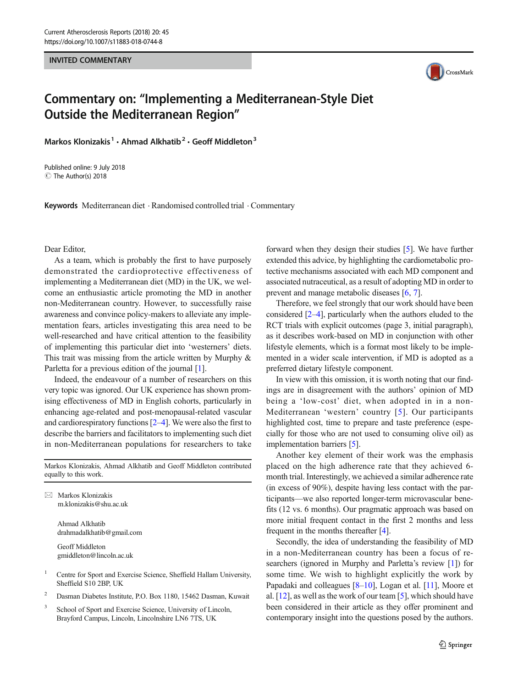INVITED COMMENTARY



## Commentary on: "Implementing a Mediterranean-Style Diet Outside the Mediterranean Region "

Markos Klonizakis<sup>1</sup> · Ahmad Alkhatib<sup>2</sup> · Geoff Middleton<sup>3</sup>

Published online: 9 July 2018  $\circledcirc$  The Author(s) 2018

Keywords Mediterranean diet . Randomised controlled trial . Commentary

## Dear Editor,

As a team, which is probably the first to have purposely demonstrated the cardioprotective effectiveness of implementing a Mediterranean diet (MD) in the UK, we welcome an enthusiastic article promoting the MD in another non-Mediterranean country. However, to successfully raise awareness and convince policy-makers to alleviate any implementation fears, articles investigating this area need to be well-researched and have critical attention to the feasibility of implementing this particular diet into 'westerners' diets. This trait was missing from the article written by Murphy & Parletta for a previous edition of the journal [\[1](#page-1-0)].

Indeed, the endeavour of a number of researchers on this very topic was ignored. Our UK experience has shown promising effectiveness of MD in English cohorts, particularly in enhancing age-related and post-menopausal-related vascular and cardiorespiratory functions [[2](#page-1-0)–[4](#page-1-0)]. We were also the first to describe the barriers and facilitators to implementing such diet in non-Mediterranean populations for researchers to take

Markos Klonizakis, Ahmad Alkhatib and Geoff Middleton contributed equally to this work.

 $\boxtimes$  Markos Klonizakis [m.klonizakis@shu.ac.uk](mailto:m.klonizakis@shu.ac.uk)

> Ahmad Alkhatib drahmadalkhatib@gmail.com

Geoff Middleton gmiddleton@lincoln.ac.uk

- <sup>1</sup> Centre for Sport and Exercise Science, Sheffield Hallam University, Sheffield S10 2BP, UK
- <sup>2</sup> Dasman Diabetes Institute, P.O. Box 1180, 15462 Dasman, Kuwait
- <sup>3</sup> School of Sport and Exercise Science, University of Lincoln, Brayford Campus, Lincoln, Lincolnshire LN6 7TS, UK

forward when they design their studies [[5\]](#page-1-0). We have further extended this advice, by highlighting the cardiometabolic protective mechanisms associated with each MD component and associated nutraceutical, as a result of adopting MD in order to prevent and manage metabolic diseases [\[6](#page-1-0), [7](#page-1-0)].

Therefore, we feel strongly that our work should have been considered [[2](#page-1-0)–[4\]](#page-1-0), particularly when the authors eluded to the RCT trials with explicit outcomes (page 3, initial paragraph), as it describes work-based on MD in conjunction with other lifestyle elements, which is a format most likely to be implemented in a wider scale intervention, if MD is adopted as a preferred dietary lifestyle component.

In view with this omission, it is worth noting that our findings are in disagreement with the authors' opinion of MD being a 'low-cost' diet, when adopted in in a non-Mediterranean 'western' country [[5\]](#page-1-0). Our participants highlighted cost, time to prepare and taste preference (especially for those who are not used to consuming olive oil) as implementation barriers [\[5](#page-1-0)].

Another key element of their work was the emphasis placed on the high adherence rate that they achieved 6 month trial. Interestingly, we achieved a similar adherence rate (in excess of 90%), despite having less contact with the participants—we also reported longer-term microvascular benefits (12 vs. 6 months). Our pragmatic approach was based on more initial frequent contact in the first 2 months and less frequent in the months thereafter [\[4](#page-1-0)].

Secondly, the idea of understanding the feasibility of MD in a non-Mediterranean country has been a focus of researchers (ignored in Murphy and Parletta's review [\[1](#page-1-0)]) for some time. We wish to highlight explicitly the work by Papadaki and colleagues [[8](#page-1-0)–[10](#page-1-0)], Logan et al. [\[11\]](#page-1-0), Moore et al. [\[12](#page-1-0)], as well as the work of our team [\[5\]](#page-1-0), which should have been considered in their article as they offer prominent and contemporary insight into the questions posed by the authors.